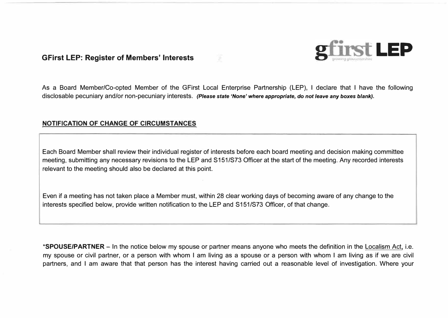# **GFirst LEP: Register of Members' Interests LEP**

As a Board Member/Co-opted Member of the GFirst Local Enterprise Partnership (LEP), I declare that I have the following disclosable pecuniary and/or non-pecuniary interests. *(Please state* **'None'** *where appropriate, do not leave any boxes blank).* 

#### **NOTIFICATION OF CHANGE OF CIRCUMSTANCES**

Each Board Member shall review their individual register of interests before each board meeting and decision making committee meeting, submitting any necessary revisions to the LEP and S151/S73 Officer at the start of the meeting. Any recorded interests relevant to the meeting should also be declared at this point.

Even if a meeting has not taken place a Member must, within 28 clear working days of becoming aware of any change to the interests specified below, provide written notification to the LEP and S151/S73 Officer, of that change.

**\*SPOUSE/PARTNER** - In the notice below my spouse or partner means anyone who meets the definition in the Localism Act, i.e. my spouse or civil partner, or a person with whom I am living as a spouse or a person with whom I am living as if we are civil partners, and I am aware that that person has the interest having carried out a reasonable level of investigation. Where your



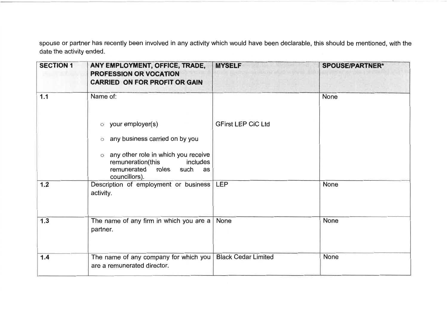spouse or partner has recently been involved in any activity which would have been declarable, this should be mentioned, with the date the activity ended.

| <b>SECTION 1</b> | ANY EMPLOYMENT, OFFICE, TRADE,<br><b>PROFESSION OR VOCATION</b><br><b>CARRIED ON FOR PROFIT OR GAIN</b>                                                                                                                        | <b>MYSELF</b>              | <b>SPOUSE/PARTNER*</b> |
|------------------|--------------------------------------------------------------------------------------------------------------------------------------------------------------------------------------------------------------------------------|----------------------------|------------------------|
| $1.1$            | Name of:<br>your employer(s)<br>$\circ$<br>any business carried on by you<br>$\circ$<br>any other role in which you receive<br>$\circ$<br>remuneration(this<br>includes<br>remunerated<br>roles<br>such<br>as<br>councillors). | <b>GFirst LEP CiC Ltd</b>  | <b>None</b>            |
| $1.2$            | Description of employment or business<br>activity.                                                                                                                                                                             | <b>LEP</b>                 | None                   |
| $1.3$            | The name of any firm in which you are a<br>partner.                                                                                                                                                                            | None                       | <b>None</b>            |
| 1.4              | The name of any company for which you<br>are a remunerated director.                                                                                                                                                           | <b>Black Cedar Limited</b> | <b>None</b>            |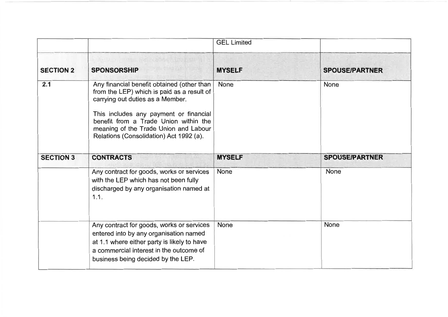|                  |                                                                                                                                                                                                                                                                                                     | <b>GEL Limited</b> |                       |
|------------------|-----------------------------------------------------------------------------------------------------------------------------------------------------------------------------------------------------------------------------------------------------------------------------------------------------|--------------------|-----------------------|
| <b>SECTION 2</b> | <b>WELL A THE SAIDE INTERNATIONAL TELEPHONE</b><br><b>SPONSORSHIP</b>                                                                                                                                                                                                                               | <b>MYSELF</b>      | <b>SPOUSE/PARTNER</b> |
| 2.1              | Any financial benefit obtained (other than<br>from the LEP) which is paid as a result of<br>carrying out duties as a Member.<br>This includes any payment or financial<br>benefit from a Trade Union within the<br>meaning of the Trade Union and Labour<br>Relations (Consolidation) Act 1992 (a). | None               | None                  |
| <b>SECTION 3</b> | <b>CONTRACTS</b>                                                                                                                                                                                                                                                                                    | <b>MYSELF</b>      | <b>SPOUSE/PARTNER</b> |
|                  | Any contract for goods, works or services<br>with the LEP which has not been fully<br>discharged by any organisation named at<br>1.1.                                                                                                                                                               | <b>None</b>        | None                  |
|                  | Any contract for goods, works or services<br>entered into by any organisation named<br>at 1.1 where either party is likely to have<br>a commercial interest in the outcome of<br>business being decided by the LEP.                                                                                 | <b>None</b>        | <b>None</b>           |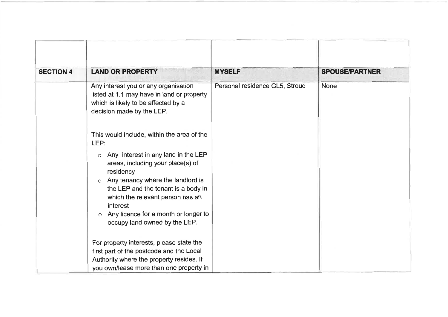| <b>SECTION 4</b> | <b>LAND OR PROPERTY</b>                                                                                                                                                                                                                                                                                               | <b>MYSELF</b>                  | <b>SPOUSE/PARTNER</b> |
|------------------|-----------------------------------------------------------------------------------------------------------------------------------------------------------------------------------------------------------------------------------------------------------------------------------------------------------------------|--------------------------------|-----------------------|
|                  | Any interest you or any organisation<br>listed at 1.1 may have in land or property<br>which is likely to be affected by a<br>decision made by the LEP.                                                                                                                                                                | Personal residence GL5, Stroud | None                  |
|                  | This would include, within the area of the<br>LEP:                                                                                                                                                                                                                                                                    |                                |                       |
|                  | Any interest in any land in the LEP<br>O<br>areas, including your place(s) of<br>residency<br>Any tenancy where the landlord is<br>$\circ$<br>the LEP and the tenant is a body in<br>which the relevant person has an<br>interest<br>Any licence for a month or longer to<br>$\circ$<br>occupy land owned by the LEP. |                                |                       |
|                  | For property interests, please state the<br>first part of the postcode and the Local<br>Authority where the property resides. If<br>you own/lease more than one property in                                                                                                                                           |                                |                       |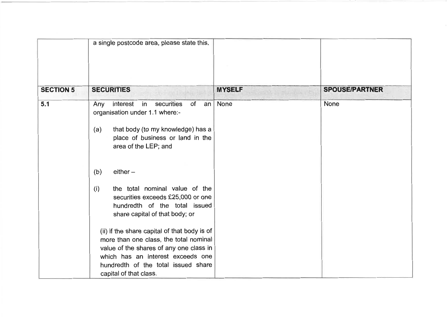| <b>SECURITIES</b>                                                                                                                                                                                                                                                                                                                                                                                                                                                                                                                         | <b>MYSELF</b>                                                 | <b>SPOUSE/PARTNER</b> |
|-------------------------------------------------------------------------------------------------------------------------------------------------------------------------------------------------------------------------------------------------------------------------------------------------------------------------------------------------------------------------------------------------------------------------------------------------------------------------------------------------------------------------------------------|---------------------------------------------------------------|-----------------------|
| interest<br>in<br>securities<br>of<br>an<br>Any<br>organisation under 1.1 where:-<br>that body (to my knowledge) has a<br>(a)<br>place of business or land in the<br>area of the LEP; and<br>$either -$<br>(b)<br>the total nominal value of the<br>(i)<br>securities exceeds £25,000 or one<br>hundredth of the total issued<br>share capital of that body; or<br>(ii) if the share capital of that body is of<br>more than one class, the total nominal<br>value of the shares of any one class in<br>which has an interest exceeds one | None                                                          | None                  |
|                                                                                                                                                                                                                                                                                                                                                                                                                                                                                                                                           | hundredth of the total issued share<br>capital of that class. |                       |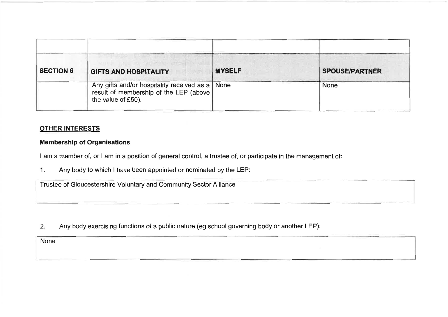| <b>SECTION 6</b> | MULLET BULLET ARE AN INC.<br><b>GIFTS AND HOSPITALITY</b>                                                         | <b>MYSELF</b> | <b>SPOUSE/PARTNER</b> |
|------------------|-------------------------------------------------------------------------------------------------------------------|---------------|-----------------------|
|                  | Any gifts and/or hospitality received as a   None<br>result of membership of the LEP (above<br>the value of £50). |               | None                  |

## **OTHER INTERESTS**

#### **Membership of Organisations**

I am a member of, or I am in a position of general control, a trustee of, or participate in the management of:

Any body to which I have been appointed or nominated by the LEP:  $1<sub>1</sub>$ 

Trustee of Gloucestershire Voluntary and Community Sector Alliance

Any body exercising functions of a public nature (eg school governing body or another LEP):  $2.$ 

None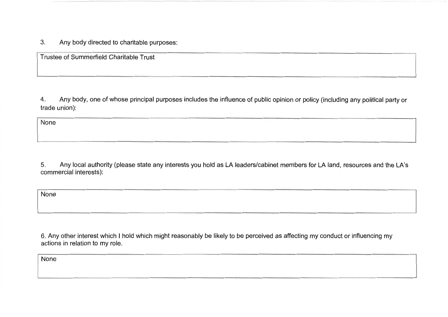$3<sub>1</sub>$ Any body directed to charitable purposes:

Trustee of Summerfield Charitable Trust

Any body, one of whose principal purposes includes the influence of public opinion or policy (including any political party or  $4.$ trade union):

None

5. Any local authority (please state any interests you hold as LA leaders/cabinet members for LA land, resources and the LA's commercial interests):

None

6. Any other interest which I hold which might reasonably be likely to be perceived as affecting my conduct or influencing my actions in relation to my role.

None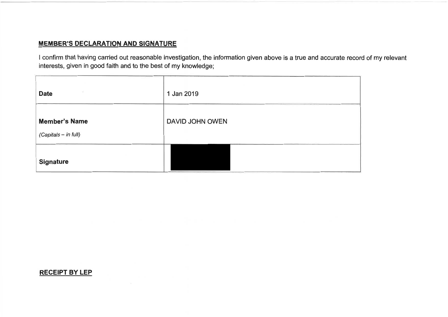# **MEMBER'S DECLARATION AND SIGNATURE**

I confirm that having carried out reasonable investigation, the information given above is a true and accurate record of my relevant interests, given in good faith and to the best of my knowledge;

| z<br><b>Date</b>                             | 1 Jan 2019      |
|----------------------------------------------|-----------------|
| <b>Member's Name</b><br>(Capitals - in full) | DAVID JOHN OWEN |
| <b>Signature</b>                             |                 |

### **RECEIPT BY LEP**